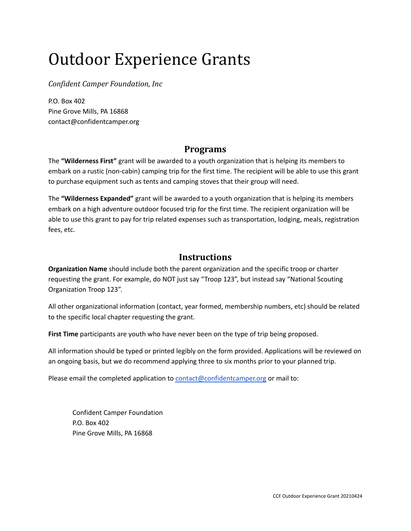# Outdoor Experience Grants

*Confident Camper Foundation, Inc*

P.O. Box 402 Pine Grove Mills, PA 16868 contact@confidentcamper.org

#### **Programs**

The **"Wilderness First"** grant will be awarded to a youth organization that is helping its members to embark on a rustic (non-cabin) camping trip for the first time. The recipient will be able to use this grant to purchase equipment such as tents and camping stoves that their group will need.

The **"Wilderness Expanded"** grant will be awarded to a youth organization that is helping its members embark on a high adventure outdoor focused trip for the first time. The recipient organization will be able to use this grant to pay for trip related expenses such as transportation, lodging, meals, registration fees, etc.

### **Instructions**

**Organization Name** should include both the parent organization and the specific troop or charter requesting the grant. For example, do NOT just say "Troop 123", but instead say "National Scouting Organization Troop 123".

All other organizational information (contact, year formed, membership numbers, etc) should be related to the specific local chapter requesting the grant.

**First Time** participants are youth who have never been on the type of trip being proposed.

All information should be typed or printed legibly on the form provided. Applications will be reviewed on an ongoing basis, but we do recommend applying three to six months prior to your planned trip.

Please email the completed application to [contact@confidentcamper.org](mailto:contact@confidentcamper.org) or mail to:

Confident Camper Foundation P.O. Box 402 Pine Grove Mills, PA 16868